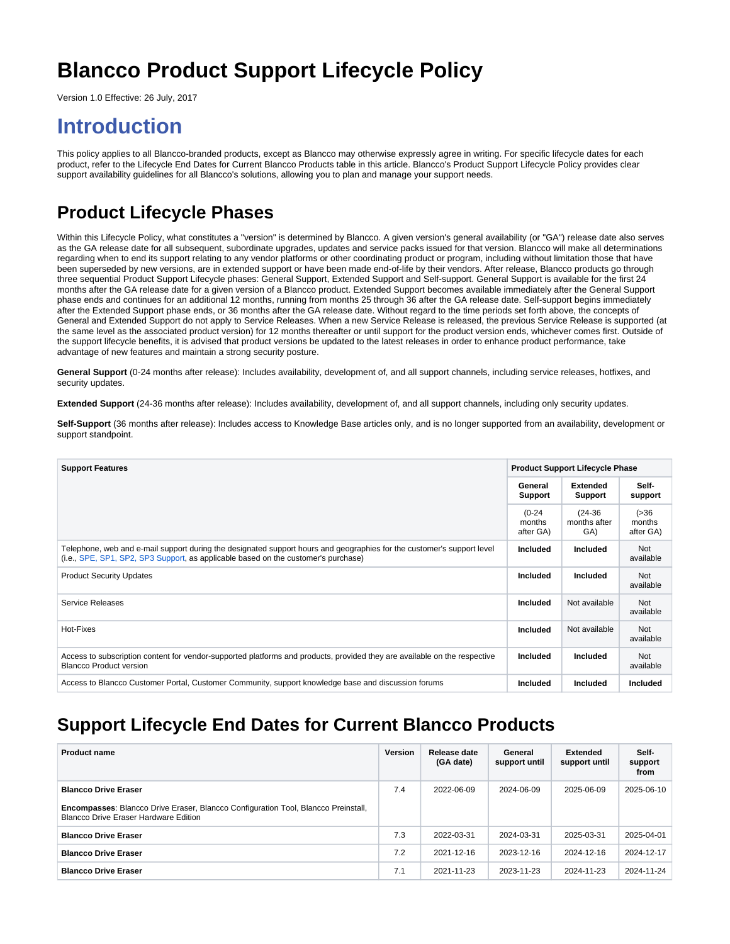# **Blancco Product Support Lifecycle Policy**

Version 1.0 Effective: 26 July, 2017

## **Introduction**

This policy applies to all Blancco-branded products, except as Blancco may otherwise expressly agree in writing. For specific lifecycle dates for each product, refer to the Lifecycle End Dates for Current Blancco Products table in this article. Blancco's Product Support Lifecycle Policy provides clear support availability guidelines for all Blancco's solutions, allowing you to plan and manage your support needs.

### **Product Lifecycle Phases**

Within this Lifecycle Policy, what constitutes a "version" is determined by Blancco. A given version's general availability (or "GA") release date also serves as the GA release date for all subsequent, subordinate upgrades, updates and service packs issued for that version. Blancco will make all determinations regarding when to end its support relating to any vendor platforms or other coordinating product or program, including without limitation those that have been superseded by new versions, are in extended support or have been made end-of-life by their vendors. After release, Blancco products go through three sequential Product Support Lifecycle phases: General Support, Extended Support and Self-support. General Support is available for the first 24 months after the GA release date for a given version of a Blancco product. Extended Support becomes available immediately after the General Support phase ends and continues for an additional 12 months, running from months 25 through 36 after the GA release date. Self-support begins immediately after the Extended Support phase ends, or 36 months after the GA release date. Without regard to the time periods set forth above, the concepts of General and Extended Support do not apply to Service Releases. When a new Service Release is released, the previous Service Release is supported (at the same level as the associated product version) for 12 months thereafter or until support for the product version ends, whichever comes first. Outside of the support lifecycle benefits, it is advised that product versions be updated to the latest releases in order to enhance product performance, take advantage of new features and maintain a strong security posture.

**General Support** (0-24 months after release): Includes availability, development of, and all support channels, including service releases, hotfixes, and security updates.

**Extended Support** (24-36 months after release): Includes availability, development of, and all support channels, including only security updates.

**Self-Support** (36 months after release): Includes access to Knowledge Base articles only, and is no longer supported from an availability, development or support standpoint.

| <b>Support Features</b>                                                                                                                                                                                      |                                 | <b>Product Support Lifecycle Phase</b> |                                |
|--------------------------------------------------------------------------------------------------------------------------------------------------------------------------------------------------------------|---------------------------------|----------------------------------------|--------------------------------|
|                                                                                                                                                                                                              | General<br>Support              | <b>Extended</b><br>Support             | Self-<br>support               |
|                                                                                                                                                                                                              | $(0-24)$<br>months<br>after GA) | $(24-36)$<br>months after<br>GA)       | ( > 36)<br>months<br>after GA) |
| Telephone, web and e-mail support during the designated support hours and geographies for the customer's support level<br>(i.e., SPE, SP1, SP2, SP3 Support, as applicable based on the customer's purchase) | <b>Included</b>                 | <b>Included</b>                        | Not<br>available               |
| <b>Product Security Updates</b>                                                                                                                                                                              | <b>Included</b>                 | <b>Included</b>                        | Not<br>available               |
| Service Releases                                                                                                                                                                                             | <b>Included</b>                 | Not available                          | Not<br>available               |
| Hot-Fixes                                                                                                                                                                                                    | <b>Included</b>                 | Not available                          | Not<br>available               |
| Access to subscription content for vendor-supported platforms and products, provided they are available on the respective<br><b>Blancco Product version</b>                                                  | <b>Included</b>                 | Included                               | Not<br>available               |
| Access to Blancco Customer Portal, Customer Community, support knowledge base and discussion forums                                                                                                          | <b>Included</b>                 | <b>Included</b>                        | Included                       |

#### **Support Lifecycle End Dates for Current Blancco Products**

| <b>Product name</b>                                                                                                         | <b>Version</b> | Release date<br>(GA date) | General<br>support until | <b>Extended</b><br>support until | Self-<br>support<br>from |
|-----------------------------------------------------------------------------------------------------------------------------|----------------|---------------------------|--------------------------|----------------------------------|--------------------------|
| <b>Blancco Drive Eraser</b>                                                                                                 | 7.4            | 2022-06-09                | 2024-06-09               | 2025-06-09                       | 2025-06-10               |
| Encompasses: Blancco Drive Eraser, Blancco Configuration Tool, Blancco Preinstall,<br>Blancco Drive Eraser Hardware Edition |                |                           |                          |                                  |                          |
| <b>Blancco Drive Eraser</b>                                                                                                 | 7.3            | 2022-03-31                | 2024-03-31               | 2025-03-31                       | 2025-04-01               |
| <b>Blancco Drive Eraser</b>                                                                                                 | 7.2            | 2021-12-16                | 2023-12-16               | 2024-12-16                       | 2024-12-17               |
| <b>Blancco Drive Eraser</b>                                                                                                 | 7.1            | 2021-11-23                | 2023-11-23               | 2024-11-23                       | 2024-11-24               |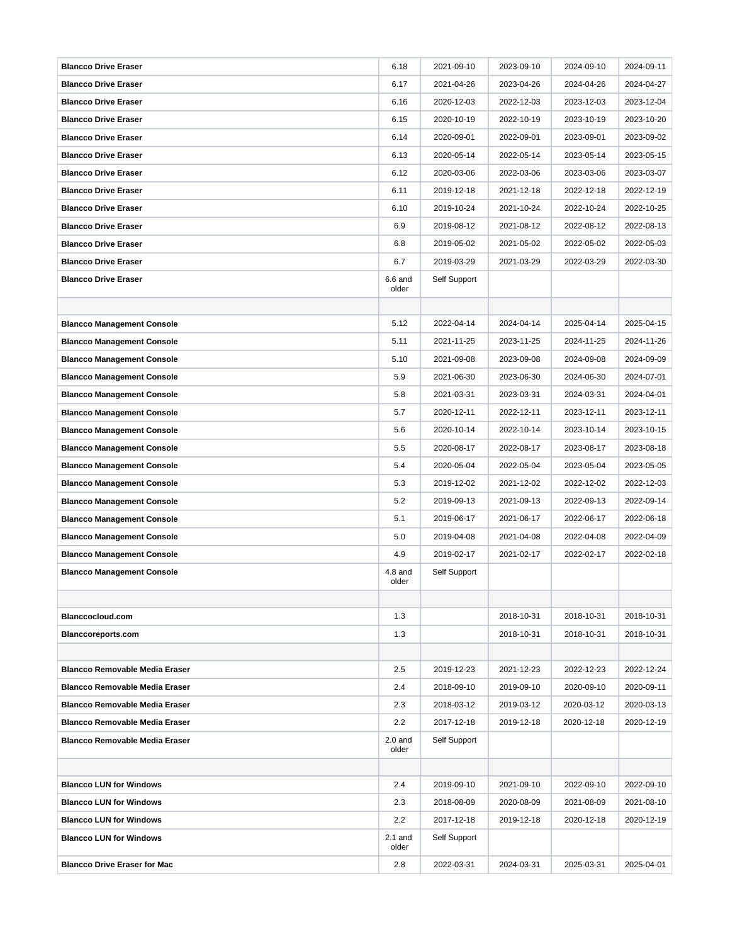| <b>Blancco Drive Eraser</b>           | 6.18               | 2021-09-10   | 2023-09-10 | 2024-09-10 | 2024-09-11 |
|---------------------------------------|--------------------|--------------|------------|------------|------------|
| <b>Blancco Drive Eraser</b>           | 6.17               | 2021-04-26   | 2023-04-26 | 2024-04-26 | 2024-04-27 |
| <b>Blancco Drive Eraser</b>           | 6.16               | 2020-12-03   | 2022-12-03 | 2023-12-03 | 2023-12-04 |
| <b>Blancco Drive Eraser</b>           | 6.15               | 2020-10-19   | 2022-10-19 | 2023-10-19 | 2023-10-20 |
| <b>Blancco Drive Eraser</b>           | 6.14               | 2020-09-01   | 2022-09-01 | 2023-09-01 | 2023-09-02 |
| <b>Blancco Drive Eraser</b>           | 6.13               | 2020-05-14   | 2022-05-14 | 2023-05-14 | 2023-05-15 |
| <b>Blancco Drive Eraser</b>           | 6.12               | 2020-03-06   | 2022-03-06 | 2023-03-06 | 2023-03-07 |
| <b>Blancco Drive Eraser</b>           | 6.11               | 2019-12-18   | 2021-12-18 | 2022-12-18 | 2022-12-19 |
| <b>Blancco Drive Eraser</b>           | 6.10               | 2019-10-24   | 2021-10-24 | 2022-10-24 | 2022-10-25 |
| <b>Blancco Drive Eraser</b>           | 6.9                | 2019-08-12   | 2021-08-12 | 2022-08-12 | 2022-08-13 |
| <b>Blancco Drive Eraser</b>           | 6.8                | 2019-05-02   | 2021-05-02 | 2022-05-02 | 2022-05-03 |
| <b>Blancco Drive Eraser</b>           | 6.7                | 2019-03-29   | 2021-03-29 | 2022-03-29 | 2022-03-30 |
| <b>Blancco Drive Eraser</b>           | $6.6$ and<br>older | Self Support |            |            |            |
|                                       |                    |              |            |            |            |
| <b>Blancco Management Console</b>     | 5.12               | 2022-04-14   | 2024-04-14 | 2025-04-14 | 2025-04-15 |
| <b>Blancco Management Console</b>     | 5.11               | 2021-11-25   | 2023-11-25 | 2024-11-25 | 2024-11-26 |
| <b>Blancco Management Console</b>     | 5.10               | 2021-09-08   | 2023-09-08 | 2024-09-08 | 2024-09-09 |
| <b>Blancco Management Console</b>     | 5.9                | 2021-06-30   | 2023-06-30 | 2024-06-30 | 2024-07-01 |
| <b>Blancco Management Console</b>     | 5.8                | 2021-03-31   | 2023-03-31 | 2024-03-31 | 2024-04-01 |
| <b>Blancco Management Console</b>     | 5.7                | 2020-12-11   | 2022-12-11 | 2023-12-11 | 2023-12-11 |
| <b>Blancco Management Console</b>     | 5.6                | 2020-10-14   | 2022-10-14 | 2023-10-14 | 2023-10-15 |
| <b>Blancco Management Console</b>     | 5.5                | 2020-08-17   | 2022-08-17 | 2023-08-17 | 2023-08-18 |
| <b>Blancco Management Console</b>     | 5.4                | 2020-05-04   | 2022-05-04 | 2023-05-04 | 2023-05-05 |
| <b>Blancco Management Console</b>     | 5.3                | 2019-12-02   | 2021-12-02 | 2022-12-02 | 2022-12-03 |
| <b>Blancco Management Console</b>     | 5.2                | 2019-09-13   | 2021-09-13 | 2022-09-13 | 2022-09-14 |
| <b>Blancco Management Console</b>     | 5.1                | 2019-06-17   | 2021-06-17 | 2022-06-17 | 2022-06-18 |
| <b>Blancco Management Console</b>     | 5.0                | 2019-04-08   | 2021-04-08 | 2022-04-08 | 2022-04-09 |
| <b>Blancco Management Console</b>     | 4.9                | 2019-02-17   | 2021-02-17 | 2022-02-17 | 2022-02-18 |
| <b>Blancco Management Console</b>     | $4.8$ and<br>older | Self Support |            |            |            |
|                                       |                    |              |            |            |            |
| Blanccocloud.com                      | 1.3                |              | 2018-10-31 | 2018-10-31 | 2018-10-31 |
| <b>Blanccoreports.com</b>             | 1.3                |              | 2018-10-31 | 2018-10-31 | 2018-10-31 |
|                                       |                    |              |            |            |            |
| <b>Blancco Removable Media Eraser</b> | 2.5                | 2019-12-23   | 2021-12-23 | 2022-12-23 | 2022-12-24 |
| <b>Blancco Removable Media Eraser</b> | 2.4                | 2018-09-10   | 2019-09-10 | 2020-09-10 | 2020-09-11 |
| <b>Blancco Removable Media Eraser</b> | 2.3                | 2018-03-12   | 2019-03-12 | 2020-03-12 | 2020-03-13 |
| <b>Blancco Removable Media Eraser</b> | 2.2                | 2017-12-18   | 2019-12-18 | 2020-12-18 | 2020-12-19 |
| <b>Blancco Removable Media Eraser</b> | $2.0$ and<br>older | Self Support |            |            |            |
|                                       |                    |              |            |            |            |
| <b>Blancco LUN for Windows</b>        | 2.4                | 2019-09-10   | 2021-09-10 | 2022-09-10 | 2022-09-10 |
| <b>Blancco LUN for Windows</b>        | 2.3                | 2018-08-09   | 2020-08-09 | 2021-08-09 | 2021-08-10 |
| <b>Blancco LUN for Windows</b>        | 2.2                | 2017-12-18   | 2019-12-18 | 2020-12-18 | 2020-12-19 |
| <b>Blancco LUN for Windows</b>        | $2.1$ and<br>older | Self Support |            |            |            |
| <b>Blancco Drive Eraser for Mac</b>   | 2.8                | 2022-03-31   | 2024-03-31 | 2025-03-31 | 2025-04-01 |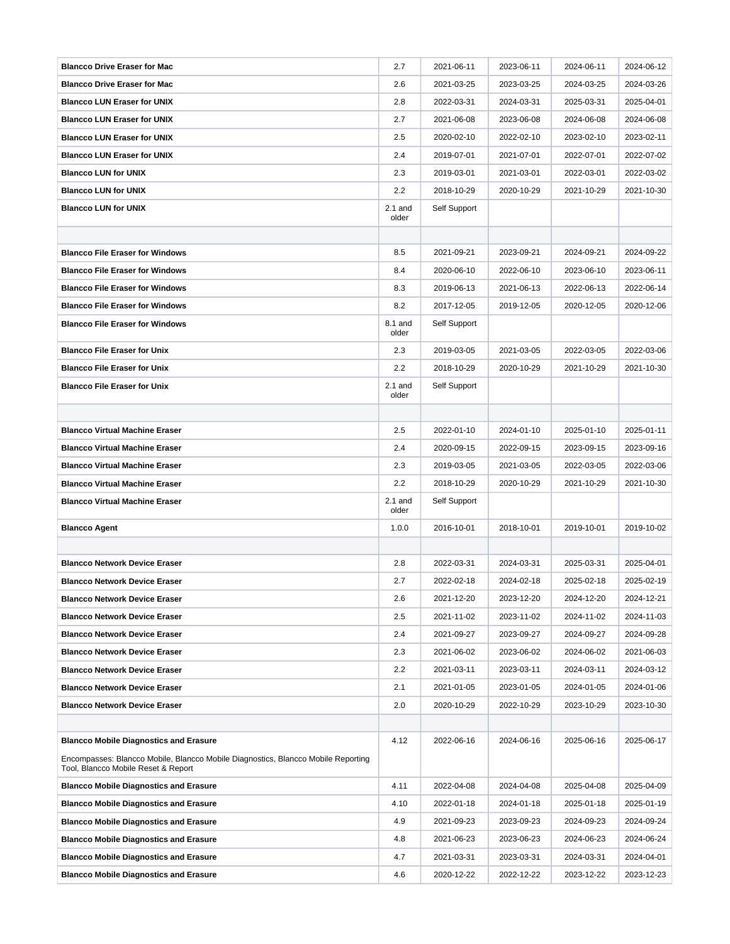| <b>Blancco Drive Eraser for Mac</b>                                                                                      | 2.7                | 2021-06-11   | 2023-06-11 | 2024-06-11 | 2024-06-12 |
|--------------------------------------------------------------------------------------------------------------------------|--------------------|--------------|------------|------------|------------|
| <b>Blancco Drive Eraser for Mac</b>                                                                                      | 2.6                | 2021-03-25   | 2023-03-25 | 2024-03-25 | 2024-03-26 |
| <b>Blancco LUN Eraser for UNIX</b>                                                                                       | 2.8                | 2022-03-31   | 2024-03-31 | 2025-03-31 | 2025-04-01 |
| <b>Blancco LUN Eraser for UNIX</b>                                                                                       | 2.7                | 2021-06-08   | 2023-06-08 | 2024-06-08 | 2024-06-08 |
| <b>Blancco LUN Eraser for UNIX</b>                                                                                       | 2.5                | 2020-02-10   | 2022-02-10 | 2023-02-10 | 2023-02-11 |
| <b>Blancco LUN Eraser for UNIX</b>                                                                                       | 2.4                | 2019-07-01   | 2021-07-01 | 2022-07-01 | 2022-07-02 |
| <b>Blancco LUN for UNIX</b>                                                                                              | 2.3                | 2019-03-01   | 2021-03-01 | 2022-03-01 | 2022-03-02 |
| <b>Blancco LUN for UNIX</b>                                                                                              | 2.2                | 2018-10-29   | 2020-10-29 | 2021-10-29 | 2021-10-30 |
| <b>Blancco LUN for UNIX</b>                                                                                              | $2.1$ and<br>older | Self Support |            |            |            |
|                                                                                                                          |                    |              |            |            |            |
| <b>Blancco File Eraser for Windows</b>                                                                                   | 8.5                | 2021-09-21   | 2023-09-21 | 2024-09-21 | 2024-09-22 |
| <b>Blancco File Eraser for Windows</b>                                                                                   | 8.4                | 2020-06-10   | 2022-06-10 | 2023-06-10 | 2023-06-11 |
| <b>Blancco File Eraser for Windows</b>                                                                                   | 8.3                | 2019-06-13   | 2021-06-13 | 2022-06-13 | 2022-06-14 |
| <b>Blancco File Eraser for Windows</b>                                                                                   | 8.2                | 2017-12-05   | 2019-12-05 | 2020-12-05 | 2020-12-06 |
| <b>Blancco File Eraser for Windows</b>                                                                                   | 8.1 and<br>older   | Self Support |            |            |            |
| <b>Blancco File Eraser for Unix</b>                                                                                      | 2.3                | 2019-03-05   | 2021-03-05 | 2022-03-05 | 2022-03-06 |
| <b>Blancco File Eraser for Unix</b>                                                                                      | 2.2                | 2018-10-29   | 2020-10-29 | 2021-10-29 | 2021-10-30 |
| <b>Blancco File Eraser for Unix</b>                                                                                      | $2.1$ and<br>older | Self Support |            |            |            |
|                                                                                                                          |                    |              |            |            |            |
| <b>Blancco Virtual Machine Eraser</b>                                                                                    | 2.5                | 2022-01-10   | 2024-01-10 | 2025-01-10 | 2025-01-11 |
| <b>Blancco Virtual Machine Eraser</b>                                                                                    | 2.4                | 2020-09-15   | 2022-09-15 | 2023-09-15 | 2023-09-16 |
| <b>Blancco Virtual Machine Eraser</b>                                                                                    | 2.3                | 2019-03-05   | 2021-03-05 | 2022-03-05 | 2022-03-06 |
| <b>Blancco Virtual Machine Eraser</b>                                                                                    | 2.2                | 2018-10-29   | 2020-10-29 | 2021-10-29 | 2021-10-30 |
| <b>Blancco Virtual Machine Eraser</b>                                                                                    | $2.1$ and<br>older | Self Support |            |            |            |
| <b>Blancco Agent</b>                                                                                                     | 1.0.0              | 2016-10-01   | 2018-10-01 | 2019-10-01 | 2019-10-02 |
|                                                                                                                          |                    |              |            |            |            |
| <b>Blancco Network Device Eraser</b>                                                                                     | 2.8                | 2022-03-31   | 2024-03-31 | 2025-03-31 | 2025-04-01 |
| <b>Blancco Network Device Eraser</b>                                                                                     | 2.7                | 2022-02-18   | 2024-02-18 | 2025-02-18 | 2025-02-19 |
| <b>Blancco Network Device Eraser</b>                                                                                     | 2.6                | 2021-12-20   | 2023-12-20 | 2024-12-20 | 2024-12-21 |
| <b>Blancco Network Device Eraser</b>                                                                                     | 2.5                | 2021-11-02   | 2023-11-02 | 2024-11-02 | 2024-11-03 |
| <b>Blancco Network Device Eraser</b>                                                                                     | 2.4                | 2021-09-27   | 2023-09-27 | 2024-09-27 | 2024-09-28 |
| <b>Blancco Network Device Eraser</b>                                                                                     | 2.3                | 2021-06-02   | 2023-06-02 | 2024-06-02 | 2021-06-03 |
| <b>Blancco Network Device Eraser</b>                                                                                     | 2.2                | 2021-03-11   | 2023-03-11 | 2024-03-11 | 2024-03-12 |
| <b>Blancco Network Device Eraser</b>                                                                                     | 2.1                | 2021-01-05   | 2023-01-05 | 2024-01-05 | 2024-01-06 |
| <b>Blancco Network Device Eraser</b>                                                                                     | 2.0                | 2020-10-29   | 2022-10-29 | 2023-10-29 | 2023-10-30 |
|                                                                                                                          |                    |              |            |            |            |
| <b>Blancco Mobile Diagnostics and Erasure</b>                                                                            | 4.12               | 2022-06-16   | 2024-06-16 | 2025-06-16 | 2025-06-17 |
| Encompasses: Blancco Mobile, Blancco Mobile Diagnostics, Blancco Mobile Reporting<br>Tool, Blancco Mobile Reset & Report |                    |              |            |            |            |
| <b>Blancco Mobile Diagnostics and Erasure</b>                                                                            | 4.11               | 2022-04-08   | 2024-04-08 | 2025-04-08 | 2025-04-09 |
| <b>Blancco Mobile Diagnostics and Erasure</b>                                                                            | 4.10               | 2022-01-18   | 2024-01-18 | 2025-01-18 | 2025-01-19 |
| <b>Blancco Mobile Diagnostics and Erasure</b>                                                                            | 4.9                | 2021-09-23   | 2023-09-23 | 2024-09-23 | 2024-09-24 |
| <b>Blancco Mobile Diagnostics and Erasure</b>                                                                            | 4.8                | 2021-06-23   | 2023-06-23 | 2024-06-23 | 2024-06-24 |
| <b>Blancco Mobile Diagnostics and Erasure</b>                                                                            | 4.7                | 2021-03-31   | 2023-03-31 | 2024-03-31 | 2024-04-01 |
| <b>Blancco Mobile Diagnostics and Erasure</b>                                                                            | 4.6                | 2020-12-22   | 2022-12-22 | 2023-12-22 | 2023-12-23 |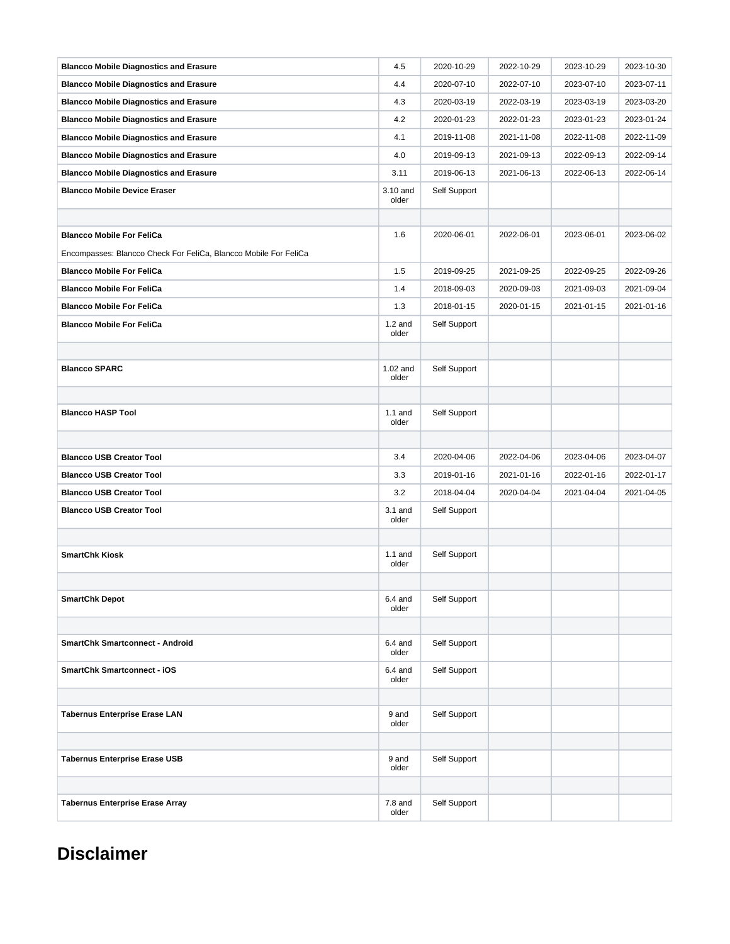| <b>Blancco Mobile Diagnostics and Erasure</b>                    | 4.5                 | 2020-10-29   | 2022-10-29 | 2023-10-29 | 2023-10-30 |
|------------------------------------------------------------------|---------------------|--------------|------------|------------|------------|
| <b>Blancco Mobile Diagnostics and Erasure</b>                    | 4.4                 | 2020-07-10   | 2022-07-10 | 2023-07-10 | 2023-07-11 |
| <b>Blancco Mobile Diagnostics and Erasure</b>                    | 4.3                 | 2020-03-19   | 2022-03-19 | 2023-03-19 | 2023-03-20 |
| <b>Blancco Mobile Diagnostics and Erasure</b>                    | 4.2                 | 2020-01-23   | 2022-01-23 | 2023-01-23 | 2023-01-24 |
| <b>Blancco Mobile Diagnostics and Erasure</b>                    | 4.1                 | 2019-11-08   | 2021-11-08 | 2022-11-08 | 2022-11-09 |
| <b>Blancco Mobile Diagnostics and Erasure</b>                    | 4.0                 | 2019-09-13   | 2021-09-13 | 2022-09-13 | 2022-09-14 |
| <b>Blancco Mobile Diagnostics and Erasure</b>                    | 3.11                | 2019-06-13   | 2021-06-13 | 2022-06-13 | 2022-06-14 |
| <b>Blancco Mobile Device Eraser</b>                              | 3.10 and<br>older   | Self Support |            |            |            |
|                                                                  |                     |              |            |            |            |
| <b>Blancco Mobile For FeliCa</b>                                 | 1.6                 | 2020-06-01   | 2022-06-01 | 2023-06-01 | 2023-06-02 |
| Encompasses: Blancco Check For FeliCa, Blancco Mobile For FeliCa |                     |              |            |            |            |
| <b>Blancco Mobile For FeliCa</b>                                 | 1.5                 | 2019-09-25   | 2021-09-25 | 2022-09-25 | 2022-09-26 |
| <b>Blancco Mobile For FeliCa</b>                                 | 1.4                 | 2018-09-03   | 2020-09-03 | 2021-09-03 | 2021-09-04 |
| <b>Blancco Mobile For FeliCa</b>                                 | 1.3                 | 2018-01-15   | 2020-01-15 | 2021-01-15 | 2021-01-16 |
| <b>Blancco Mobile For FeliCa</b>                                 | $1.2$ and<br>older  | Self Support |            |            |            |
|                                                                  |                     |              |            |            |            |
| <b>Blancco SPARC</b>                                             | $1.02$ and<br>older | Self Support |            |            |            |
|                                                                  |                     |              |            |            |            |
| <b>Blancco HASP Tool</b>                                         | $1.1$ and<br>older  | Self Support |            |            |            |
|                                                                  |                     |              |            |            |            |
| <b>Blancco USB Creator Tool</b>                                  | 3.4                 | 2020-04-06   | 2022-04-06 | 2023-04-06 | 2023-04-07 |
| <b>Blancco USB Creator Tool</b>                                  | 3.3                 | 2019-01-16   | 2021-01-16 | 2022-01-16 | 2022-01-17 |
| <b>Blancco USB Creator Tool</b>                                  | 3.2                 | 2018-04-04   | 2020-04-04 | 2021-04-04 | 2021-04-05 |
| <b>Blancco USB Creator Tool</b>                                  | $3.1$ and<br>older  | Self Support |            |            |            |
|                                                                  |                     |              |            |            |            |
| <b>SmartChk Kiosk</b>                                            | $1.1$ and<br>older  | Self Support |            |            |            |
|                                                                  |                     |              |            |            |            |
| <b>SmartChk Depot</b>                                            | $6.4$ and<br>older  | Self Support |            |            |            |
|                                                                  |                     |              |            |            |            |
| <b>SmartChk Smartconnect - Android</b>                           | $6.4$ and<br>older  | Self Support |            |            |            |
| <b>SmartChk Smartconnect - iOS</b>                               | $6.4$ and<br>older  | Self Support |            |            |            |
|                                                                  |                     |              |            |            |            |
| <b>Tabernus Enterprise Erase LAN</b>                             | 9 and<br>older      | Self Support |            |            |            |
|                                                                  |                     |              |            |            |            |
| <b>Tabernus Enterprise Erase USB</b>                             | 9 and<br>older      | Self Support |            |            |            |
|                                                                  |                     |              |            |            |            |
| <b>Tabernus Enterprise Erase Array</b>                           | $7.8$ and<br>older  | Self Support |            |            |            |

### **Disclaimer**